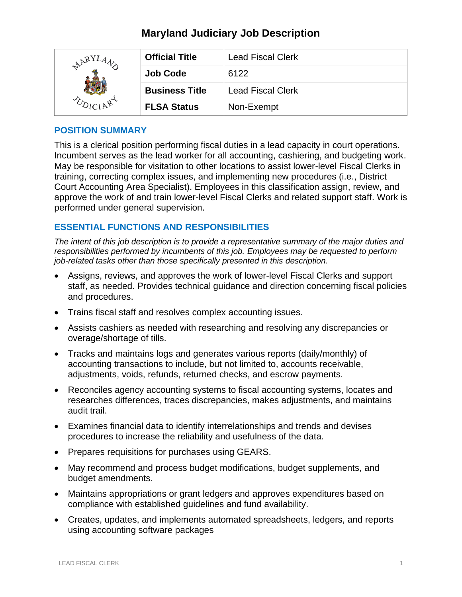# **Maryland Judiciary Job Description**

| $R^{RY}$ | <b>Official Title</b> | <b>Lead Fiscal Clerk</b> |
|----------|-----------------------|--------------------------|
|          | <b>Job Code</b>       | 6122                     |
|          | <b>Business Title</b> | <b>Lead Fiscal Clerk</b> |
|          | <b>FLSA Status</b>    | Non-Exempt               |

### **POSITION SUMMARY**

This is a clerical position performing fiscal duties in a lead capacity in court operations. Incumbent serves as the lead worker for all accounting, cashiering, and budgeting work. May be responsible for visitation to other locations to assist lower-level Fiscal Clerks in training, correcting complex issues, and implementing new procedures (i.e., District Court Accounting Area Specialist). Employees in this classification assign, review, and approve the work of and train lower-level Fiscal Clerks and related support staff. Work is performed under general supervision.

# **ESSENTIAL FUNCTIONS AND RESPONSIBILITIES**

*The intent of this job description is to provide a representative summary of the major duties and responsibilities performed by incumbents of this job. Employees may be requested to perform job-related tasks other than those specifically presented in this description.*

- Assigns, reviews, and approves the work of lower-level Fiscal Clerks and support staff, as needed. Provides technical guidance and direction concerning fiscal policies and procedures.
- Trains fiscal staff and resolves complex accounting issues.
- Assists cashiers as needed with researching and resolving any discrepancies or overage/shortage of tills.
- Tracks and maintains logs and generates various reports (daily/monthly) of accounting transactions to include, but not limited to, accounts receivable, adjustments, voids, refunds, returned checks, and escrow payments.
- Reconciles agency accounting systems to fiscal accounting systems, locates and researches differences, traces discrepancies, makes adjustments, and maintains audit trail.
- Examines financial data to identify interrelationships and trends and devises procedures to increase the reliability and usefulness of the data.
- Prepares requisitions for purchases using GEARS.
- May recommend and process budget modifications, budget supplements, and budget amendments.
- Maintains appropriations or grant ledgers and approves expenditures based on compliance with established guidelines and fund availability.
- Creates, updates, and implements automated spreadsheets, ledgers, and reports using accounting software packages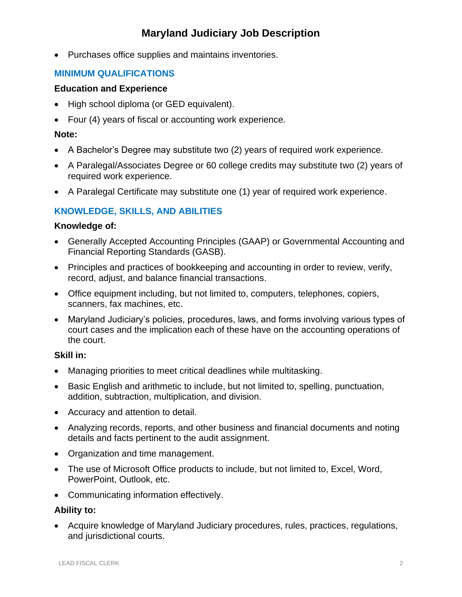# **Maryland Judiciary Job Description**

• Purchases office supplies and maintains inventories.

# **MINIMUM QUALIFICATIONS**

#### **Education and Experience**

- High school diploma (or GED equivalent).
- Four (4) years of fiscal or accounting work experience.

### **Note:**

- A Bachelor's Degree may substitute two (2) years of required work experience.
- A Paralegal/Associates Degree or 60 college credits may substitute two (2) years of required work experience.
- A Paralegal Certificate may substitute one (1) year of required work experience.

# **KNOWLEDGE, SKILLS, AND ABILITIES**

### **Knowledge of:**

- Generally Accepted Accounting Principles (GAAP) or Governmental Accounting and Financial Reporting Standards (GASB).
- Principles and practices of bookkeeping and accounting in order to review, verify, record, adjust, and balance financial transactions.
- Office equipment including, but not limited to, computers, telephones, copiers, scanners, fax machines, etc.
- Maryland Judiciary's policies, procedures, laws, and forms involving various types of court cases and the implication each of these have on the accounting operations of the court.

## **Skill in:**

- Managing priorities to meet critical deadlines while multitasking.
- Basic English and arithmetic to include, but not limited to, spelling, punctuation, addition, subtraction, multiplication, and division.
- Accuracy and attention to detail.
- Analyzing records, reports, and other business and financial documents and noting details and facts pertinent to the audit assignment.
- Organization and time management.
- The use of Microsoft Office products to include, but not limited to, Excel, Word, PowerPoint, Outlook, etc.
- Communicating information effectively.

## **Ability to:**

• Acquire knowledge of Maryland Judiciary procedures, rules, practices, regulations, and jurisdictional courts.